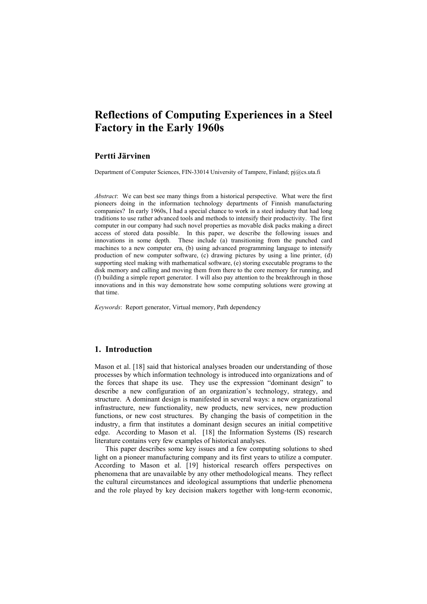# **Reflections of Computing Experiences in a Steel Factory in the Early 1960s**

## **Pertti Järvinen**

Department of Computer Sciences, FIN-33014 University of Tampere, Finland; pj@cs.uta.fi

*Abstract*: We can best see many things from a historical perspective. What were the first pioneers doing in the information technology departments of Finnish manufacturing companies? In early 1960s, I had a special chance to work in a steel industry that had long traditions to use rather advanced tools and methods to intensify their productivity. The first computer in our company had such novel properties as movable disk packs making a direct access of stored data possible. In this paper, we describe the following issues and innovations in some depth. These include (a) transitioning from the punched card machines to a new computer era, (b) using advanced programming language to intensify production of new computer software, (c) drawing pictures by using a line printer, (d) supporting steel making with mathematical software, (e) storing executable programs to the disk memory and calling and moving them from there to the core memory for running, and (f) building a simple report generator. I will also pay attention to the breakthrough in those innovations and in this way demonstrate how some computing solutions were growing at that time.

*Keywords*: Report generator, Virtual memory, Path dependency

## **1. Introduction**

Mason et al. [18] said that historical analyses broaden our understanding of those processes by which information technology is introduced into organizations and of the forces that shape its use. They use the expression "dominant design" to describe a new configuration of an organization's technology, strategy, and structure. A dominant design is manifested in several ways: a new organizational infrastructure, new functionality, new products, new services, new production functions, or new cost structures. By changing the basis of competition in the industry, a firm that institutes a dominant design secures an initial competitive edge. According to Mason et al. [18] the Information Systems (IS) research literature contains very few examples of historical analyses.

This paper describes some key issues and a few computing solutions to shed light on a pioneer manufacturing company and its first years to utilize a computer. According to Mason et al. [19] historical research offers perspectives on phenomena that are unavailable by any other methodological means. They reflect the cultural circumstances and ideological assumptions that underlie phenomena and the role played by key decision makers together with long-term economic,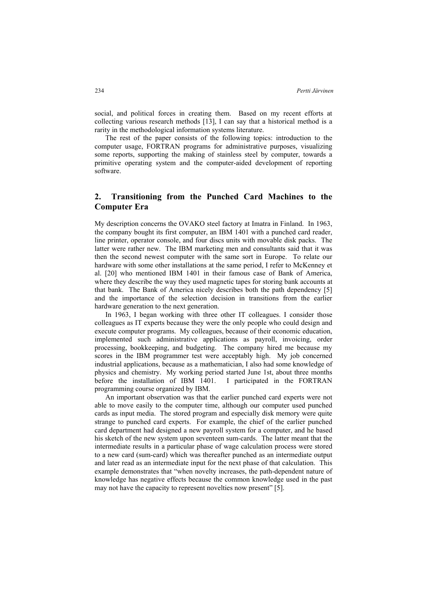social, and political forces in creating them. Based on my recent efforts at collecting various research methods [13], I can say that a historical method is a rarity in the methodological information systems literature.

The rest of the paper consists of the following topics: introduction to the computer usage, FORTRAN programs for administrative purposes, visualizing some reports, supporting the making of stainless steel by computer, towards a primitive operating system and the computer-aided development of reporting software.

# **2. Transitioning from the Punched Card Machines to the Computer Era**

My description concerns the OVAKO steel factory at Imatra in Finland. In 1963, the company bought its first computer, an IBM 1401 with a punched card reader, line printer, operator console, and four discs units with movable disk packs. The latter were rather new. The IBM marketing men and consultants said that it was then the second newest computer with the same sort in Europe. To relate our hardware with some other installations at the same period, I refer to McKenney et al. [20] who mentioned IBM 1401 in their famous case of Bank of America, where they describe the way they used magnetic tapes for storing bank accounts at that bank. The Bank of America nicely describes both the path dependency [5] and the importance of the selection decision in transitions from the earlier hardware generation to the next generation.

In 1963, I began working with three other IT colleagues. I consider those colleagues as IT experts because they were the only people who could design and execute computer programs. My colleagues, because of their economic education, implemented such administrative applications as payroll, invoicing, order processing, bookkeeping, and budgeting. The company hired me because my scores in the IBM programmer test were acceptably high. My job concerned industrial applications, because as a mathematician, I also had some knowledge of physics and chemistry. My working period started June 1st, about three months before the installation of IBM 1401. I participated in the FORTRAN programming course organized by IBM.

An important observation was that the earlier punched card experts were not able to move easily to the computer time, although our computer used punched cards as input media. The stored program and especially disk memory were quite strange to punched card experts. For example, the chief of the earlier punched card department had designed a new payroll system for a computer, and he based his sketch of the new system upon seventeen sum-cards. The latter meant that the intermediate results in a particular phase of wage calculation process were stored to a new card (sum-card) which was thereafter punched as an intermediate output and later read as an intermediate input for the next phase of that calculation. This example demonstrates that "when novelty increases, the path-dependent nature of knowledge has negative effects because the common knowledge used in the past may not have the capacity to represent novelties now present" [5].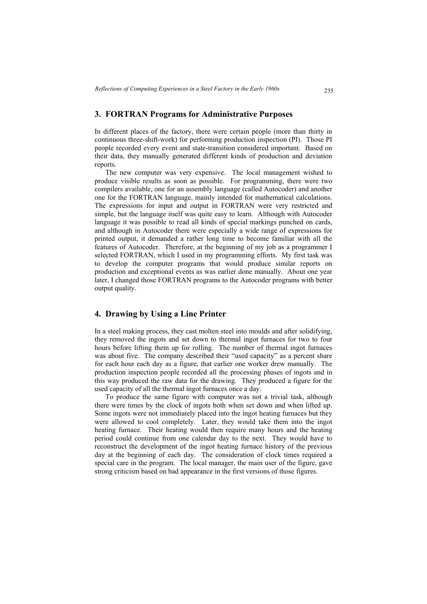#### **3. FORTRAN Programs for Administrative Purposes**

In different places of the factory, there were certain people (more than thirty in continuous three-shift-work) for performing production inspection (PI). Those PI people recorded every event and state-transition considered important. Based on their data, they manually generated different kinds of production and deviation reports.

The new computer was very expensive. The local management wished to produce visible results as soon as possible. For programming, there were two compilers available, one for an assembly language (called Autocoder) and another one for the FORTRAN language, mainly intended for mathematical calculations. The expressions for input and output in FORTRAN were very restricted and simple, but the language itself was quite easy to learn. Although with Autocoder language it was possible to read all kinds of special markings punched on cards, and although in Autocoder there were especially a wide range of expressions for printed output, it demanded a rather long time to become familiar with all the features of Autocoder. Therefore, at the beginning of my job as a programmer I selected FORTRAN, which I used in my programming efforts. My first task was to develop the computer programs that would produce similar reports on production and exceptional events as was earlier done manually. About one year later, I changed those FORTRAN programs to the Autocoder programs with better output quality.

#### **4. Drawing by Using a Line Printer**

In a steel making process, they cast molten steel into moulds and after solidifying, they removed the ingots and set down to thermal ingot furnaces for two to four hours before lifting them up for rolling. The number of thermal ingot furnaces was about five. The company described their "used capacity" as a percent share for each hour each day as a figure, that earlier one worker drew manually. The production inspection people recorded all the processing phases of ingots and in this way produced the raw data for the drawing. They produced a figure for the used capacity of all the thermal ingot furnaces once a day.

To produce the same figure with computer was not a trivial task, although there were times by the clock of ingots both when set down and when lifted up. Some ingots were not immediately placed into the ingot heating furnaces but they were allowed to cool completely. Later, they would take them into the ingot heating furnace. Their heating would then require many hours and the heating period could continue from one calendar day to the next. They would have to reconstruct the development of the ingot heating furnace history of the previous day at the beginning of each day. The consideration of clock times required a special care in the program. The local manager, the main user of the figure, gave strong criticism based on bad appearance in the first versions of those figures.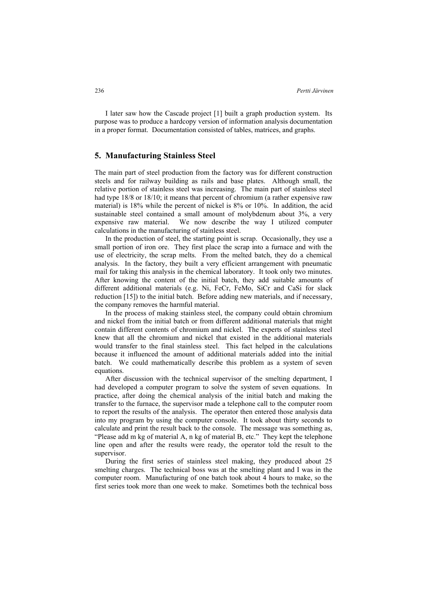I later saw how the Cascade project [1] built a graph production system. Its purpose was to produce a hardcopy version of information analysis documentation in a proper format. Documentation consisted of tables, matrices, and graphs.

## **5. Manufacturing Stainless Steel**

The main part of steel production from the factory was for different construction steels and for railway building as rails and base plates. Although small, the relative portion of stainless steel was increasing. The main part of stainless steel had type 18/8 or 18/10; it means that percent of chromium (a rather expensive raw material) is 18% while the percent of nickel is 8% or 10%. In addition, the acid sustainable steel contained a small amount of molybdenum about 3%, a very expensive raw material. We now describe the way I utilized computer calculations in the manufacturing of stainless steel.

In the production of steel, the starting point is scrap. Occasionally, they use a small portion of iron ore. They first place the scrap into a furnace and with the use of electricity, the scrap melts. From the melted batch, they do a chemical analysis. In the factory, they built a very efficient arrangement with pneumatic mail for taking this analysis in the chemical laboratory. It took only two minutes. After knowing the content of the initial batch, they add suitable amounts of different additional materials (e.g. Ni, FeCr, FeMo, SiCr and CaSi for slack reduction [15]) to the initial batch. Before adding new materials, and if necessary, the company removes the harmful material.

In the process of making stainless steel, the company could obtain chromium and nickel from the initial batch or from different additional materials that might contain different contents of chromium and nickel. The experts of stainless steel knew that all the chromium and nickel that existed in the additional materials would transfer to the final stainless steel. This fact helped in the calculations because it influenced the amount of additional materials added into the initial batch. We could mathematically describe this problem as a system of seven equations.

After discussion with the technical supervisor of the smelting department, I had developed a computer program to solve the system of seven equations. In practice, after doing the chemical analysis of the initial batch and making the transfer to the furnace, the supervisor made a telephone call to the computer room to report the results of the analysis. The operator then entered those analysis data into my program by using the computer console. It took about thirty seconds to calculate and print the result back to the console. The message was something as, "Please add m kg of material A, n kg of material B, etc." They kept the telephone line open and after the results were ready, the operator told the result to the supervisor.

During the first series of stainless steel making, they produced about 25 smelting charges. The technical boss was at the smelting plant and I was in the computer room. Manufacturing of one batch took about 4 hours to make, so the first series took more than one week to make. Sometimes both the technical boss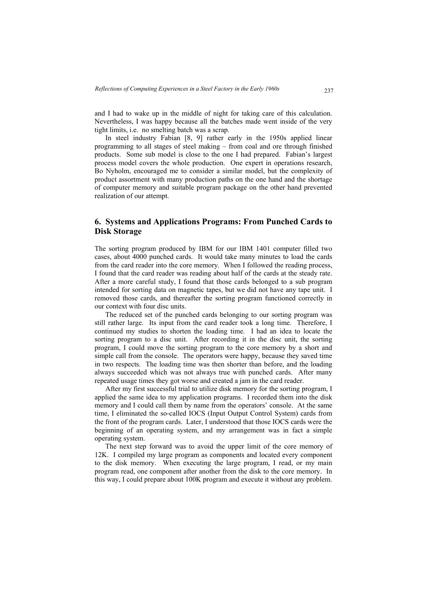and I had to wake up in the middle of night for taking care of this calculation. Nevertheless, I was happy because all the batches made went inside of the very tight limits, i.e. no smelting batch was a scrap.

In steel industry Fabian [8, 9] rather early in the 1950s applied linear programming to all stages of steel making – from coal and ore through finished products. Some sub model is close to the one I had prepared. Fabian's largest process model covers the whole production. One expert in operations research, Bo Nyholm, encouraged me to consider a similar model, but the complexity of product assortment with many production paths on the one hand and the shortage of computer memory and suitable program package on the other hand prevented realization of our attempt.

## **6. Systems and Applications Programs: From Punched Cards to Disk Storage**

The sorting program produced by IBM for our IBM 1401 computer filled two cases, about 4000 punched cards. It would take many minutes to load the cards from the card reader into the core memory. When I followed the reading process, I found that the card reader was reading about half of the cards at the steady rate. After a more careful study, I found that those cards belonged to a sub program intended for sorting data on magnetic tapes, but we did not have any tape unit. I removed those cards, and thereafter the sorting program functioned correctly in our context with four disc units.

The reduced set of the punched cards belonging to our sorting program was still rather large. Its input from the card reader took a long time. Therefore, I continued my studies to shorten the loading time. I had an idea to locate the sorting program to a disc unit. After recording it in the disc unit, the sorting program, I could move the sorting program to the core memory by a short and simple call from the console. The operators were happy, because they saved time in two respects. The loading time was then shorter than before, and the loading always succeeded which was not always true with punched cards. After many repeated usage times they got worse and created a jam in the card reader.

After my first successful trial to utilize disk memory for the sorting program, I applied the same idea to my application programs. I recorded them into the disk memory and I could call them by name from the operators' console. At the same time, I eliminated the so-called IOCS (Input Output Control System) cards from the front of the program cards. Later, I understood that those IOCS cards were the beginning of an operating system, and my arrangement was in fact a simple operating system.

The next step forward was to avoid the upper limit of the core memory of 12K. I compiled my large program as components and located every component to the disk memory. When executing the large program, I read, or my main program read, one component after another from the disk to the core memory. In this way, I could prepare about 100K program and execute it without any problem.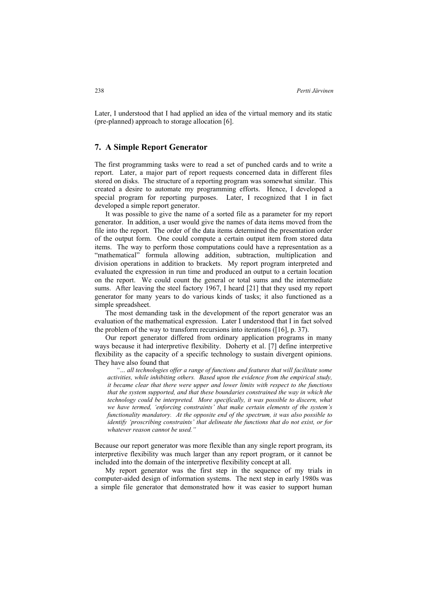Later, I understood that I had applied an idea of the virtual memory and its static (pre-planned) approach to storage allocation [6].

# **7. A Simple Report Generator**

The first programming tasks were to read a set of punched cards and to write a report. Later, a major part of report requests concerned data in different files stored on disks. The structure of a reporting program was somewhat similar. This created a desire to automate my programming efforts. Hence, I developed a special program for reporting purposes. Later, I recognized that I in fact developed a simple report generator.

It was possible to give the name of a sorted file as a parameter for my report generator. In addition, a user would give the names of data items moved from the file into the report. The order of the data items determined the presentation order of the output form. One could compute a certain output item from stored data items. The way to perform those computations could have a representation as a "mathematical" formula allowing addition, subtraction, multiplication and division operations in addition to brackets. My report program interpreted and evaluated the expression in run time and produced an output to a certain location on the report. We could count the general or total sums and the intermediate sums. After leaving the steel factory 1967, I heard [21] that they used my report generator for many years to do various kinds of tasks; it also functioned as a simple spreadsheet.

The most demanding task in the development of the report generator was an evaluation of the mathematical expression. Later I understood that I in fact solved the problem of the way to transform recursions into iterations ([16], p. 37).

Our report generator differed from ordinary application programs in many ways because it had interpretive flexibility. Doherty et al. [7] define interpretive flexibility as the capacity of a specific technology to sustain divergent opinions. They have also found that

*"… all technologies offer a range of functions and features that will facilitate some activities, while inhibiting others. Based upon the evidence from the empirical study, it became clear that there were upper and lower limits with respect to the functions that the system supported, and that these boundaries constrained the way in which the technology could be interpreted. More specifically, it was possible to discern, what we have termed, 'enforcing constraints' that make certain elements of the system's functionality mandatory. At the opposite end of the spectrum, it was also possible to identify 'proscribing constraints' that delineate the functions that do not exist, or for whatever reason cannot be used."* 

Because our report generator was more flexible than any single report program, its interpretive flexibility was much larger than any report program, or it cannot be included into the domain of the interpretive flexibility concept at all.

My report generator was the first step in the sequence of my trials in computer-aided design of information systems. The next step in early 1980s was a simple file generator that demonstrated how it was easier to support human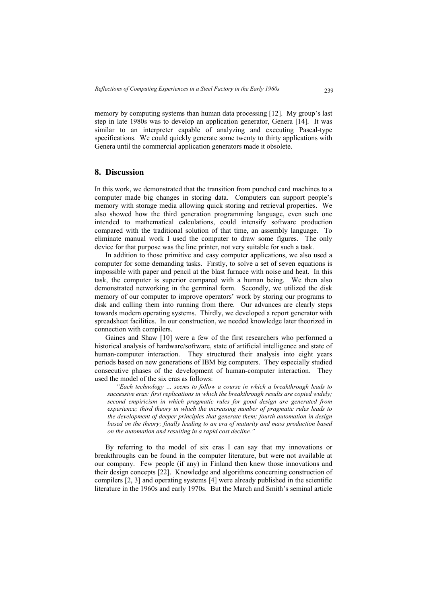memory by computing systems than human data processing [12]. My group's last step in late 1980s was to develop an application generator, Genera [14]. It was similar to an interpreter capable of analyzing and executing Pascal-type specifications. We could quickly generate some twenty to thirty applications with Genera until the commercial application generators made it obsolete.

#### **8. Discussion**

In this work, we demonstrated that the transition from punched card machines to a computer made big changes in storing data. Computers can support people's memory with storage media allowing quick storing and retrieval properties. We also showed how the third generation programming language, even such one intended to mathematical calculations, could intensify software production compared with the traditional solution of that time, an assembly language. To eliminate manual work I used the computer to draw some figures. The only device for that purpose was the line printer, not very suitable for such a task.

In addition to those primitive and easy computer applications, we also used a computer for some demanding tasks. Firstly, to solve a set of seven equations is impossible with paper and pencil at the blast furnace with noise and heat. In this task, the computer is superior compared with a human being. We then also demonstrated networking in the germinal form. Secondly, we utilized the disk memory of our computer to improve operators' work by storing our programs to disk and calling them into running from there. Our advances are clearly steps towards modern operating systems. Thirdly, we developed a report generator with spreadsheet facilities. In our construction, we needed knowledge later theorized in connection with compilers.

Gaines and Shaw [10] were a few of the first researchers who performed a historical analysis of hardware/software, state of artificial intelligence and state of human-computer interaction. They structured their analysis into eight years periods based on new generations of IBM big computers. They especially studied consecutive phases of the development of human-computer interaction. They used the model of the six eras as follows:

*"Each technology … seems to follow a course in which a breakthrough leads to successive eras: first replications in which the breakthrough results are copied widely; second empiricism in which pragmatic rules for good design are generated from experience; third theory in which the increasing number of pragmatic rules leads to the development of deeper principles that generate them; fourth automation in design based on the theory; finally leading to an era of maturity and mass production based on the automation and resulting in a rapid cost decline."* 

By referring to the model of six eras I can say that my innovations or breakthroughs can be found in the computer literature, but were not available at our company. Few people (if any) in Finland then knew those innovations and their design concepts [22]. Knowledge and algorithms concerning construction of compilers [2, 3] and operating systems [4] were already published in the scientific literature in the 1960s and early 1970s. But the March and Smith's seminal article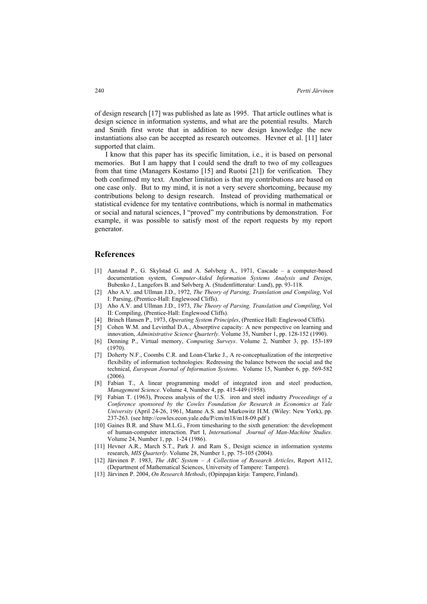of design research [17] was published as late as 1995. That article outlines what is design science in information systems, and what are the potential results. March and Smith first wrote that in addition to new design knowledge the new instantiations also can be accepted as research outcomes. Hevner et al. [11] later supported that claim.

I know that this paper has its specific limitation, i.e., it is based on personal memories. But I am happy that I could send the draft to two of my colleagues from that time (Managers Kostamo [15] and Ruotsi [21]) for verification. They both confirmed my text. Another limitation is that my contributions are based on one case only. But to my mind, it is not a very severe shortcoming, because my contributions belong to design research. Instead of providing mathematical or statistical evidence for my tentative contributions, which is normal in mathematics or social and natural sciences, I "proved" my contributions by demonstration. For example, it was possible to satisfy most of the report requests by my report generator.

#### **References**

- [1] Aanstad P., G. Skylstad G. and A. Sølvberg A., 1971, Cascade a computer-based documentation system, *Computer-Aided Information Systems Analysis and Design*, Bubenko J., Langefors B. and Sølvberg A. (Studentlitteratur: Lund), pp. 93-118.
- [2] Aho A.V. and Ullman J.D., 1972, *The Theory of Parsing, Translation and Compiling*, Vol I: Parsing, (Prentice-Hall: Englewood Cliffs).
- [3] Aho A.V. and Ullman J.D., 1973, *The Theory of Parsing, Translation and Compiling*, Vol II: Compiling, (Prentice-Hall: Englewood Cliffs).
- [4] Brinch Hansen P., 1973, *Operating System Principles*, (Prentice Hall: Englewood Cliffs).
- [5] Cohen W.M. and Levinthal D.A., Absorptive capacity: A new perspective on learning and innovation, *Administrative Science Quarterly*. Volume 35, Number 1, pp. 128-152 (1990).
- [6] Denning P., Virtual memory, *Computing Surveys*. Volume 2, Number 3, pp. 153-189 (1970).
- [7] Doherty N.F., Coombs C.R. and Loan-Clarke J., A re-conceptualization of the interpretive flexibility of information technologies: Redressing the balance between the social and the technical, *European Journal of Information Systems*. Volume 15, Number 6, pp. 569-582 (2006).
- [8] Fabian T., A linear programming model of integrated iron and steel production, *Management Science*. Volume 4, Number 4, pp. 415-449 (1958).
- [9] Fabian T. (1963), Process analysis of the U.S. iron and steel industry *Proceedings of a Conference sponsored by the Cowles Foundation for Research in Economics at Yale University* (April 24-26, 1961, Manne A.S. and Markowitz H.M. (Wiley: New York), pp. 237-263. (see http://cowles.econ.yale.edu/P/cm/m18/m18-09.pdf )
- [10] Gaines B.R. and Shaw M.L.G., From timesharing to the sixth generation: the development of human-computer interaction. Part I, *International Journal of Man-Machine Studies*. Volume 24, Number 1, pp. 1-24 (1986).
- [11] Hevner A.R., March S.T., Park J. and Ram S., Design science in information systems research, *MIS Quarterly*. Volume 28, Number 1, pp. 75-105 (2004).
- [12] Järvinen P. 1983, *The ABC System A Collection of Research Articles*, Report A112, (Department of Mathematical Sciences, University of Tampere: Tampere).
- [13] Järvinen P. 2004, *On Research Methods*, (Opinpajan kirja: Tampere, Finland).